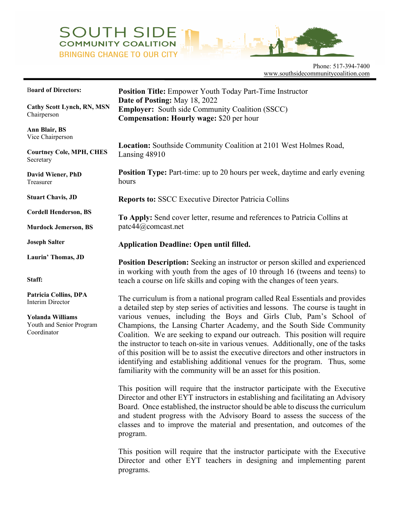**COMMUNITY COALITION BRINGING CHANGE TO OUR CITY** 

DЕ

**SOUTH SII** 

program.

Phone: 517-394-7400 [www.southsidecommunitycoalition.com](http://www.southsidecommunitycoalition.com/)

| <b>Board of Directors:</b>                                           | <b>Position Title:</b> Empower Youth Today Part-Time Instructor<br>Date of Posting: May 18, 2022                                                                                                                                                                                                                                                                                                                                                                                        |
|----------------------------------------------------------------------|-----------------------------------------------------------------------------------------------------------------------------------------------------------------------------------------------------------------------------------------------------------------------------------------------------------------------------------------------------------------------------------------------------------------------------------------------------------------------------------------|
| Cathy Scott Lynch, RN, MSN<br>Chairperson                            | <b>Employer:</b> South side Community Coalition (SSCC)<br><b>Compensation: Hourly wage: \$20 per hour</b>                                                                                                                                                                                                                                                                                                                                                                               |
| Ann Blair, BS<br>Vice Chairperson                                    |                                                                                                                                                                                                                                                                                                                                                                                                                                                                                         |
| <b>Courtney Cole, MPH, CHES</b><br>Secretary                         | <b>Location:</b> Southside Community Coalition at 2101 West Holmes Road,<br>Lansing 48910                                                                                                                                                                                                                                                                                                                                                                                               |
| David Wiener, PhD<br>Treasurer                                       | <b>Position Type:</b> Part-time: up to 20 hours per week, daytime and early evening<br>hours                                                                                                                                                                                                                                                                                                                                                                                            |
| <b>Stuart Chavis, JD</b>                                             | <b>Reports to: SSCC Executive Director Patricia Collins</b>                                                                                                                                                                                                                                                                                                                                                                                                                             |
| <b>Cordell Henderson, BS</b>                                         | To Apply: Send cover letter, resume and references to Patricia Collins at                                                                                                                                                                                                                                                                                                                                                                                                               |
| <b>Murdock Jemerson, BS</b>                                          | patc44@comcast.net                                                                                                                                                                                                                                                                                                                                                                                                                                                                      |
| <b>Joseph Salter</b>                                                 | Application Deadline: Open until filled.                                                                                                                                                                                                                                                                                                                                                                                                                                                |
| Laurin' Thomas, JD<br>Staff:                                         | Position Description: Seeking an instructor or person skilled and experienced<br>in working with youth from the ages of 10 through 16 (tweens and teens) to<br>teach a course on life skills and coping with the changes of teen years.                                                                                                                                                                                                                                                 |
| Patricia Collins, DPA<br>Interim Director<br><b>Yolanda Williams</b> | The curriculum is from a national program called Real Essentials and provides<br>a detailed step by step series of activities and lessons. The course is taught in<br>various venues, including the Boys and Girls Club, Pam's School of                                                                                                                                                                                                                                                |
| Youth and Senior Program<br>Coordinator                              | Champions, the Lansing Charter Academy, and the South Side Community<br>Coalition. We are seeking to expand our outreach. This position will require<br>the instructor to teach on-site in various venues. Additionally, one of the tasks<br>of this position will be to assist the executive directors and other instructors in<br>identifying and establishing additional venues for the program.<br>Thus, some<br>familiarity with the community will be an asset for this position. |
|                                                                      | This position will require that the instructor participate with the Executive<br>Director and other EYT instructors in establishing and facilitating an Advisory<br>Board. Once established, the instructor should be able to discuss the curriculum<br>and student progress with the Advisory Board to assess the success of the<br>classes and to improve the material and presentation, and outcomes of the                                                                          |

This position will require that the instructor participate with the Executive Director and other EYT teachers in designing and implementing parent programs.